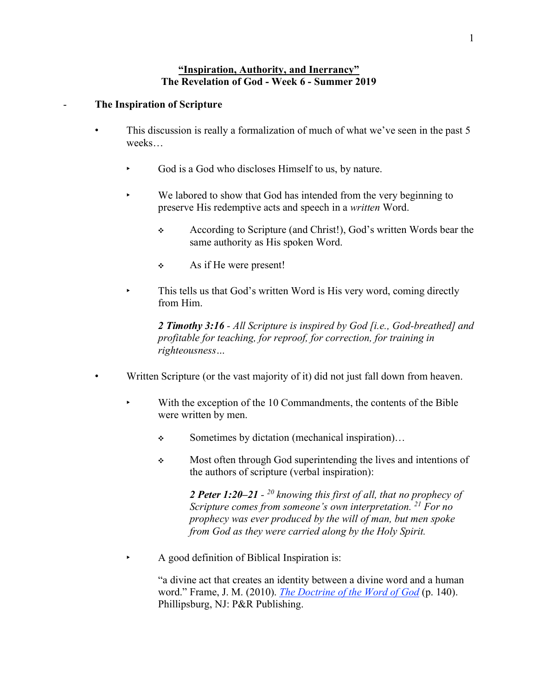## **"Inspiration, Authority, and Inerrancy" The Revelation of God - Week 6 - Summer 2019**

## - **The Inspiration of Scripture**

- This discussion is really a formalization of much of what we've seen in the past 5 weeks…
	- God is a God who discloses Himself to us, by nature.
	- ‣ We labored to show that God has intended from the very beginning to preserve His redemptive acts and speech in a *written* Word.
		- ❖ According to Scripture (and Christ!), God's written Words bear the same authority as His spoken Word.
		- ❖ As if He were present!
	- This tells us that God's written Word is His very word, coming directly from Him.

*2 Timothy 3:16 - All Scripture is inspired by God [i.e., God-breathed] and profitable for teaching, for reproof, for correction, for training in righteousness…*

- Written Scripture (or the vast majority of it) did not just fall down from heaven.
	- With the exception of the 10 Commandments, the contents of the Bible were written by men.
		- ❖ Sometimes by dictation (mechanical inspiration)…
		- ❖ Most often through God superintending the lives and intentions of the authors of scripture (verbal inspiration):

*2 Peter 1:20–21 - <sup>20</sup> knowing this first of all, that no prophecy of Scripture comes from someone's own interpretation. <sup>21</sup> For no prophecy was ever produced by the will of man, but men spoke from God as they were carried along by the Holy Spirit.*

‣ A good definition of Biblical Inspiration is:

"a divine act that creates an identity between a divine word and a human word." Frame, J. M. (2010). *The Doctrine of the Word of God* (p. 140). Phillipsburg, NJ: P&R Publishing.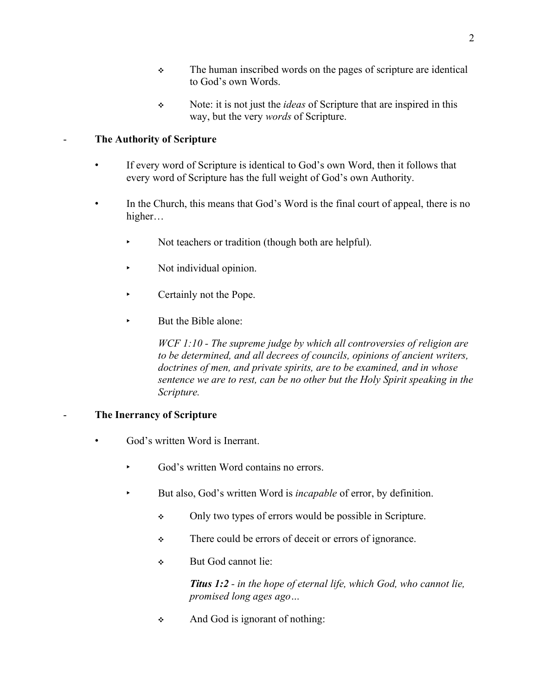- ❖ The human inscribed words on the pages of scripture are identical to God's own Words.
- ❖ Note: it is not just the *ideas* of Scripture that are inspired in this way, but the very *words* of Scripture.

## - **The Authority of Scripture**

- If every word of Scripture is identical to God's own Word, then it follows that every word of Scripture has the full weight of God's own Authority.
- In the Church, this means that God's Word is the final court of appeal, there is no higher…
	- ‣ Not teachers or tradition (though both are helpful).
	- ‣ Not individual opinion.
	- ‣ Certainly not the Pope.
	- But the Bible alone:

*WCF 1:10 - The supreme judge by which all controversies of religion are to be determined, and all decrees of councils, opinions of ancient writers, doctrines of men, and private spirits, are to be examined, and in whose sentence we are to rest, can be no other but the Holy Spirit speaking in the Scripture.*

## - **The Inerrancy of Scripture**

- God's written Word is Inerrant.
	- God's written Word contains no errors.
	- ‣ But also, God's written Word is *incapable* of error, by definition.
		- ❖ Only two types of errors would be possible in Scripture.
		- ❖ There could be errors of deceit or errors of ignorance.
		- ❖ But God cannot lie:

*Titus 1:2 - in the hope of eternal life, which God, who cannot lie, promised long ages ago…*

❖ And God is ignorant of nothing: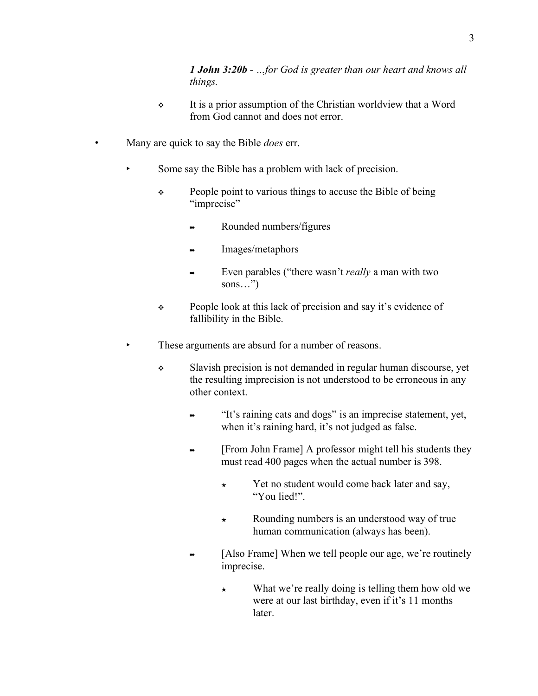*1 John 3:20b - …for God is greater than our heart and knows all things.*

- ❖ It is a prior assumption of the Christian worldview that a Word from God cannot and does not error.
- Many are quick to say the Bible *does* err.
	- Some say the Bible has a problem with lack of precision.
		- ❖ People point to various things to accuse the Bible of being "imprecise"
			- ➡ Rounded numbers/figures
			- ➡ Images/metaphors
			- ➡ Even parables ("there wasn't *really* a man with two sons…")
		- ❖ People look at this lack of precision and say it's evidence of fallibility in the Bible.
	- ‣ These arguments are absurd for a number of reasons.
		- ❖ Slavish precision is not demanded in regular human discourse, yet the resulting imprecision is not understood to be erroneous in any other context.
			- ➡ "It's raining cats and dogs" is an imprecise statement, yet, when it's raining hard, it's not judged as false.
			- ➡ [From John Frame] A professor might tell his students they must read 400 pages when the actual number is 398.
				- ★ Yet no student would come back later and say, "You lied!".
				- ★ Rounding numbers is an understood way of true human communication (always has been).
			- [Also Frame] When we tell people our age, we're routinely imprecise.
				- $\star$  What we're really doing is telling them how old we were at our last birthday, even if it's 11 months later.